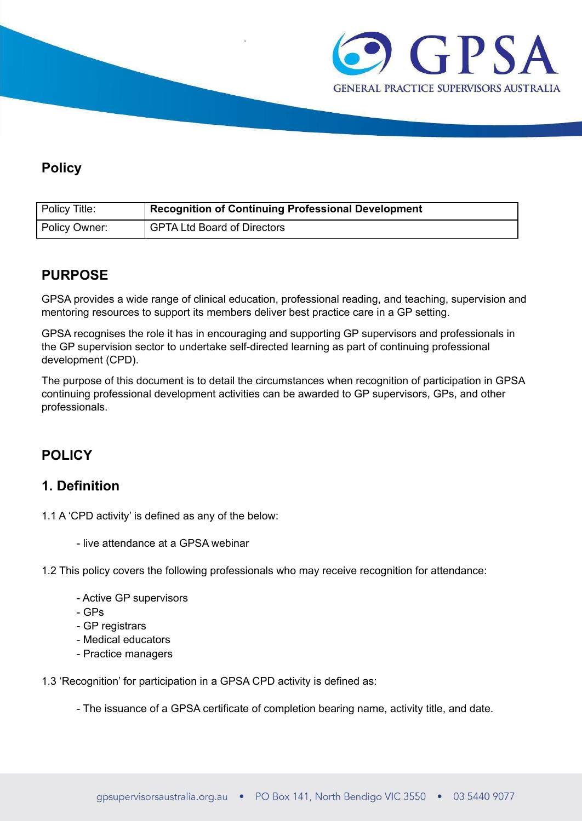

# **Policy**

| Policy Title: | Recognition of Continuing Professional Development |
|---------------|----------------------------------------------------|
| Policy Owner: | GPTA Ltd Board of Directors                        |

# **PURPOSE**

GPSA provides a wide range of clinical education, professional reading, and teaching, supervision and mentoring resources to support its members deliver best practice care in a GP setting.

GPSA recognises the role it has in encouraging and supporting GP supervisors and professionals in the GP supervision sector to undertake self-directed learning as part of continuing professional development (CPD).

The purpose of this document is to detail the circumstances when recognition of participation in GPSA continuing professional development activities can be awarded to GP supervisors, GPs, and other professionals.

# **POLICY**

## **1. Definition**

- 1.1 A 'CPD activity' is defined as any of the below:
	- live attendance at a GPSA webinar
- 1.2 This policy covers the following professionals who may receive recognition for attendance:
	- Active GP supervisors
	- GPs
	- GP registrars
	- Medical educators
	- Practice managers
- 1.3 'Recognition' for participation in a GPSA CPD activity is defined as:
	- The issuance of a GPSA certificate of completion bearing name, activity title, and date.